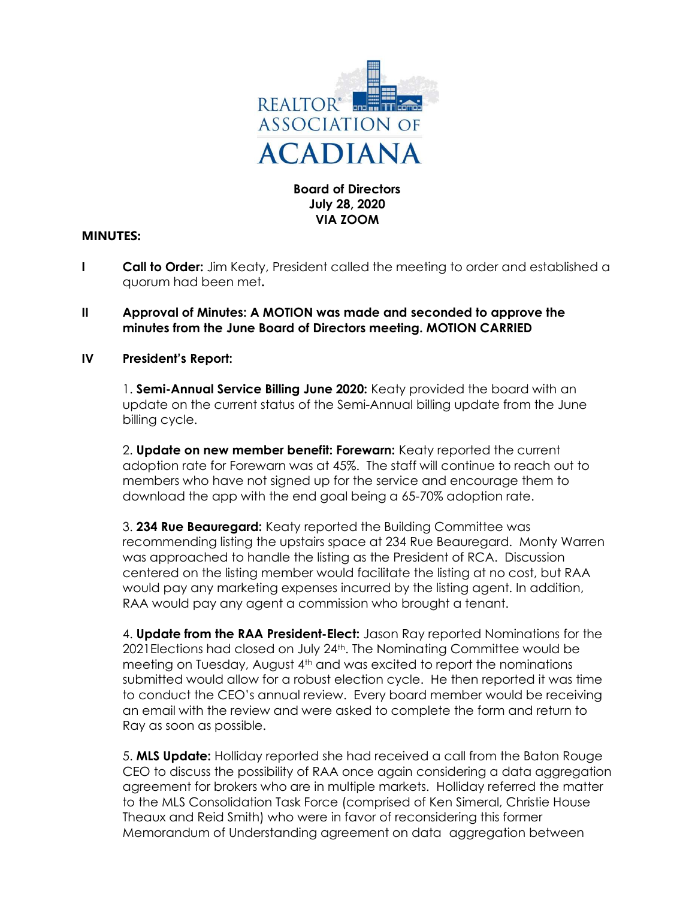

### Board of Directors July 28, 2020 VIA ZOOM

## MINUTES:

- **I** Call to Order: Jim Keaty, President called the meeting to order and established a quorum had been met.
- II Approval of Minutes: A MOTION was made and seconded to approve the minutes from the June Board of Directors meeting. MOTION CARRIED

## IV President's Report:

1. Semi-Annual Service Billing June 2020: Keaty provided the board with an update on the current status of the Semi-Annual billing update from the June billing cycle.

2. Update on new member benefit: Forewarn: Keaty reported the current adoption rate for Forewarn was at 45%. The staff will continue to reach out to members who have not signed up for the service and encourage them to download the app with the end goal being a 65-70% adoption rate.

3. 234 Rue Beauregard: Keaty reported the Building Committee was recommending listing the upstairs space at 234 Rue Beauregard. Monty Warren was approached to handle the listing as the President of RCA. Discussion centered on the listing member would facilitate the listing at no cost, but RAA would pay any marketing expenses incurred by the listing agent. In addition, RAA would pay any agent a commission who brought a tenant.

4. **Update from the RAA President-Elect:** Jason Ray reported Nominations for the 2021Elections had closed on July 24th. The Nominating Committee would be meeting on Tuesday, August  $4<sup>th</sup>$  and was excited to report the nominations submitted would allow for a robust election cycle. He then reported it was time to conduct the CEO's annual review. Every board member would be receiving an email with the review and were asked to complete the form and return to Ray as soon as possible.

 5. MLS Update: Holliday reported she had received a call from the Baton Rouge CEO to discuss the possibility of RAA once again considering a data aggregation agreement for brokers who are in multiple markets. Holliday referred the matter to the MLS Consolidation Task Force (comprised of Ken Simeral, Christie House Theaux and Reid Smith) who were in favor of reconsidering this former Memorandum of Understanding agreement on data aggregation between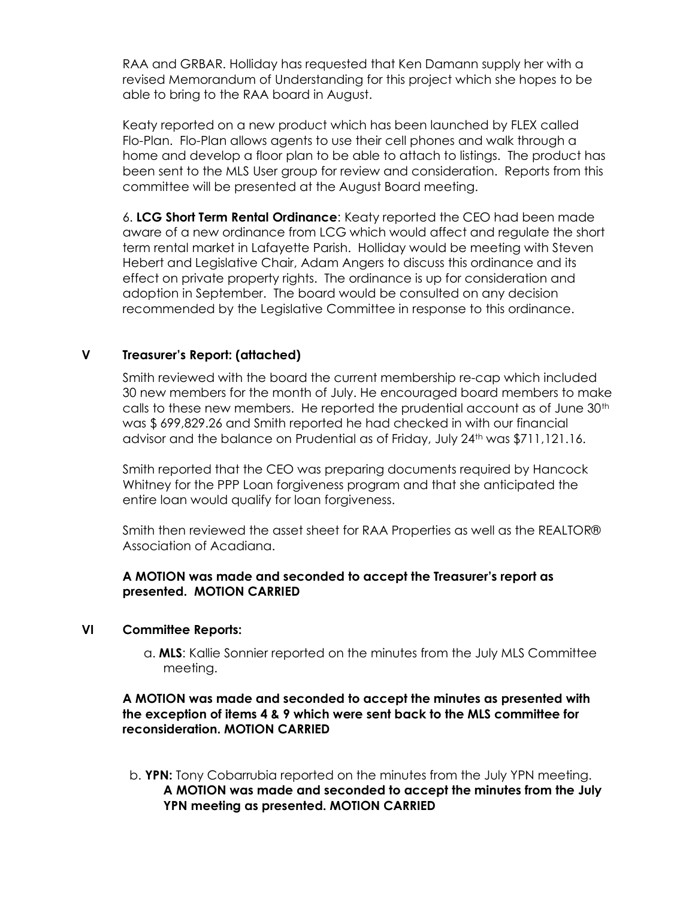RAA and GRBAR. Holliday has requested that Ken Damann supply her with a revised Memorandum of Understanding for this project which she hopes to be able to bring to the RAA board in August.

 Keaty reported on a new product which has been launched by FLEX called Flo-Plan. Flo-Plan allows agents to use their cell phones and walk through a home and develop a floor plan to be able to attach to listings. The product has been sent to the MLS User group for review and consideration. Reports from this committee will be presented at the August Board meeting.

 6. LCG Short Term Rental Ordinance: Keaty reported the CEO had been made aware of a new ordinance from LCG which would affect and regulate the short term rental market in Lafayette Parish. Holliday would be meeting with Steven Hebert and Legislative Chair, Adam Angers to discuss this ordinance and its effect on private property rights. The ordinance is up for consideration and adoption in September. The board would be consulted on any decision recommended by the Legislative Committee in response to this ordinance.

# V Treasurer's Report: (attached)

 Smith reviewed with the board the current membership re-cap which included 30 new members for the month of July. He encouraged board members to make calls to these new members. He reported the prudential account as of June 30th was \$ 699,829.26 and Smith reported he had checked in with our financial advisor and the balance on Prudential as of Friday, July 24th was \$711,121.16.

 Smith reported that the CEO was preparing documents required by Hancock Whitney for the PPP Loan forgiveness program and that she anticipated the entire loan would qualify for loan forgiveness.

 Smith then reviewed the asset sheet for RAA Properties as well as the REALTOR® Association of Acadiana.

## A MOTION was made and seconded to accept the Treasurer's report as presented. MOTION CARRIED

## VI Committee Reports:

 a. MLS: Kallie Sonnier reported on the minutes from the July MLS Committee meeting.

## A MOTION was made and seconded to accept the minutes as presented with the exception of items 4 & 9 which were sent back to the MLS committee for reconsideration. MOTION CARRIED

 b. YPN: Tony Cobarrubia reported on the minutes from the July YPN meeting. A MOTION was made and seconded to accept the minutes from the July YPN meeting as presented. MOTION CARRIED